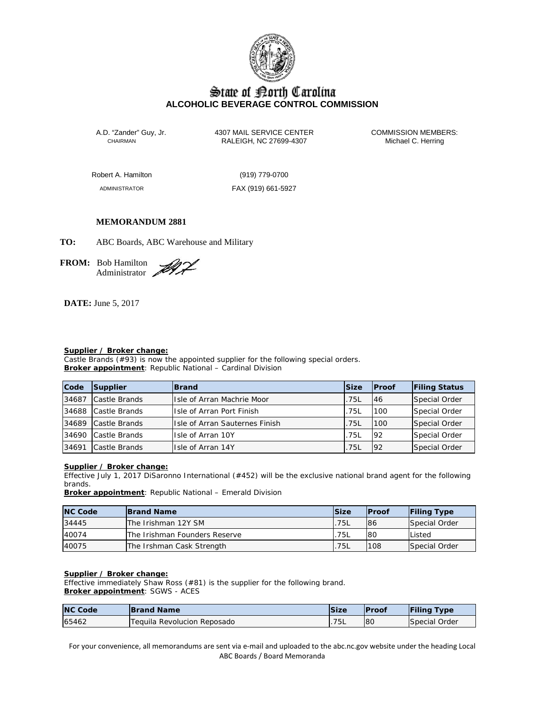

# State of Borth Carolina **ALCOHOLIC BEVERAGE CONTROL COMMISSION**

A.D. "Zander" Guy, Jr. 4307 MAIL SERVICE CENTER COMMISSION MEMBERS:<br>CHAIRMAN RALEIGH, NC 27699-4307 Michael C. Herring RALEIGH, NC 27699-4307

Robert A. Hamilton (919) 779-0700

ADMINISTRATOR FAX (919) 661-5927

# **MEMORANDUM 2881**

**TO:** ABC Boards, ABC Warehouse and Military

**FROM:** Bob Hamilton Administrator 2

**DATE:** June 5, 2017

# **Supplier / Broker change:**

Castle Brands (#93) is now the appointed supplier for the following special orders. **Broker appointment**: Republic National – Cardinal Division

| Code  | Supplier      | <b>Brand</b>                           | <b>Size</b> | <b>IProof</b> | <b>Filing Status</b> |
|-------|---------------|----------------------------------------|-------------|---------------|----------------------|
| 34687 | Castle Brands | Itsle of Arran Machrie Moor            | .75L        | 46            | Special Order        |
| 34688 | Castle Brands | IIsle of Arran Port Finish             | .75L        | 100           | Special Order        |
| 34689 | Castle Brands | <b>IIsle of Arran Sauternes Finish</b> | .75L        | 100           | Special Order        |
| 34690 | Castle Brands | IIsle of Arran 10Y                     | .75L        | 92            | Special Order        |
| 34691 | Castle Brands | <b>Isle of Arran 14Y</b>               | .75L        | 92            | Special Order        |

### **Supplier / Broker change:**

Effective July 1, 2017 DiSaronno International (#452) will be the exclusive national brand agent for the following brands.

**Broker appointment**: Republic National – Emerald Division

| <b>NC Code</b> | <b>Brand Name</b>             | <b>Size</b> | <b>Proof</b> | <b>Filing Type</b> |
|----------------|-------------------------------|-------------|--------------|--------------------|
| 34445          | The Irishman 12Y SM           | .75L        | 86           | Special Order      |
| 40074          | The Irishman Founders Reserve | .75L        | 80           | Listed             |
| 40075          | The Irshman Cask Strength     | .75L        | 108          | Special Order      |

### **Supplier / Broker change:**

Effective immediately Shaw Ross (#81) is the supplier for the following brand. **Broker appointment**: SGWS - ACES

| <b>NC Code</b> | <b>Brand Name</b>           | Size | <b>IProof</b> | <b>Filing Type</b> |
|----------------|-----------------------------|------|---------------|--------------------|
| 65462          | Tequila Revolucion Reposado | 75L  | <b>80</b>     | Special Order      |

For your convenience, all memorandums are sent via e-mail and uploaded to the abc.nc.gov website under the heading Local ABC Boards / Board Memoranda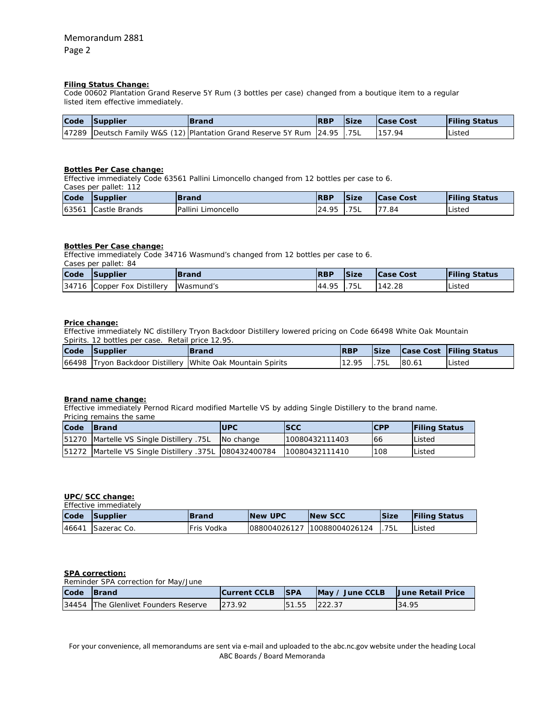# **Filing Status Change:**

Code 00602 Plantation Grand Reserve 5Y Rum (3 bottles per case) changed from a boutique item to a regular listed item effective immediately.

| Code | Supplier | <b>Brand</b>                                                                     | <b>RBP</b> | <b>Size</b> | <b>Case Cost</b> | <b>Filing Status</b> |
|------|----------|----------------------------------------------------------------------------------|------------|-------------|------------------|----------------------|
|      |          | 47289   Deutsch Family W&S (12)   Plantation Grand Reserve 5Y Rum   24.95   .75L |            |             | 157.94           | Listed               |

# **Bottles Per Case change:**

Effective immediately Code 63561 Pallini Limoncello changed from 12 bottles per case to 6.

Cases per pallet: 112

| Code  | Supplier      | <b>Brand</b>       | <b>RBP</b> | <b>Size</b> | <b>Case Cost</b> | <b>Filing Status</b> |
|-------|---------------|--------------------|------------|-------------|------------------|----------------------|
| 63561 | Castle Brands | Pallini Limoncello | 24.95      | .75L        | 177.84           | Listed               |

#### **Bottles Per Case change:**

Effective immediately Code 34716 Wasmund's changed from 12 bottles per case to 6. Cases per pallet: 84

| Code Supplier                         | <b>Brand</b> | <b>RBP</b>  | <b>Size</b> | <b>Case Cost</b> | <b>Filing Status</b> |
|---------------------------------------|--------------|-------------|-------------|------------------|----------------------|
| 34716 Copper Fox Distillery Wasmund's |              | 44.95 1.75L |             | 142.28           | Listed               |

#### **Price change:**

Effective immediately NC distillery Tryon Backdoor Distillery lowered pricing on Code 66498 White Oak Mountain Spirits. 12 bottles per case. Retail price 12.95.

|      | Splitts. IZ DOITIES DEI CASE. RETAIL DITCE 12.70. |                                                            |            |      |       |                              |
|------|---------------------------------------------------|------------------------------------------------------------|------------|------|-------|------------------------------|
| Code | Supplier                                          | <b>Brand</b>                                               | <b>RBP</b> |      |       | Size Case Cost Filing Status |
|      |                                                   | 66498 Tryon Backdoor Distillery White Oak Mountain Spirits | 12.95      | .75L | 80.61 | <b>IListed</b>               |

#### **Brand name change:**

Effective immediately Pernod Ricard modified Martelle VS by adding Single Distillery to the brand name. Pricing remains the same

| Code | <b>IBrand</b>                                               | <b>UPC</b> | <b>ISCC</b>    | <b>CPP</b> | <b>IFiling Status</b> |
|------|-------------------------------------------------------------|------------|----------------|------------|-----------------------|
|      | 51270 Martelle VS Single Distillery .75L                    | No change  | 10080432111403 | 166        | Listed                |
|      | [51272   Martelle VS Single Distillery .375L   080432400784 |            | 10080432111410 | 108        | Listed                |

#### **UPC/SCC change:**   $Effoothio$  immediately

|       | Ellective Infinediately |             |                 |                             |      |                      |  |  |  |  |
|-------|-------------------------|-------------|-----------------|-----------------------------|------|----------------------|--|--|--|--|
| Code  | <b>Supplier</b>         | lBrand      | <b>INew UPC</b> | <b>INew SCC</b>             | Size | <b>Filing Status</b> |  |  |  |  |
| 46641 | Sazerac Co.             | IFris Vodka |                 | 088004026127 10088004026124 | 75L  | Listed               |  |  |  |  |

#### **SPA correction:**

Reminder SPA correction for May/June

| Code | <b>Brand</b>                         | <b>Current CCLB</b> | <b>ISPA</b>   | $\vert$ May / June CCLB | <b>June Retail Price</b> |
|------|--------------------------------------|---------------------|---------------|-------------------------|--------------------------|
|      | 34454 The Glenlivet Founders Reserve | 273.92              | 151.55 222.37 |                         | 34.95                    |

For your convenience, all memorandums are sent via e-mail and uploaded to the abc.nc.gov website under the heading Local ABC Boards / Board Memoranda